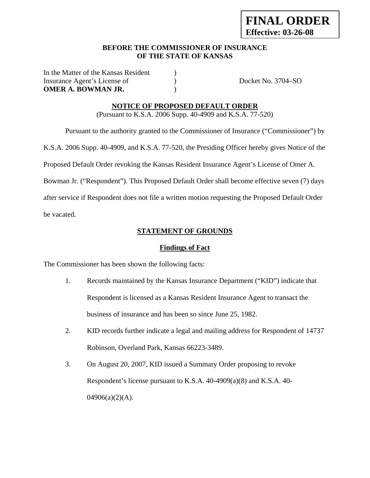#### **BEFORE THE COMMISSIONER OF INSURANCE OF THE STATE OF KANSAS**

In the Matter of the Kansas Resident ) Insurance Agent's License of  $Docket No. 3704-SO$ **OMER A. BOWMAN JR.** (a)

#### **NOTICE OF PROPOSED DEFAULT ORDER**

(Pursuant to K.S.A. 2006 Supp. 40-4909 and K.S.A. 77-520)

Pursuant to the authority granted to the Commissioner of Insurance ("Commissioner") by

K.S.A. 2006 Supp. 40-4909, and K.S.A. 77-520, the Presiding Officer hereby gives Notice of the

Proposed Default Order revoking the Kansas Resident Insurance Agent's License of Omer A.

Bowman Jr. ("Respondent"). This Proposed Default Order shall become effective seven (7) days

after service if Respondent does not file a written motion requesting the Proposed Default Order

be vacated.

#### **STATEMENT OF GROUNDS**

#### **Findings of Fact**

The Commissioner has been shown the following facts:

- 1. Records maintained by the Kansas Insurance Department ("KID") indicate that Respondent is licensed as a Kansas Resident Insurance Agent to transact the business of insurance and has been so since June 25, 1982.
- 2. KID records further indicate a legal and mailing address for Respondent of 14737 Robinson, Overland Park, Kansas 66223-3489.
- 3. On August 20, 2007, KID issued a Summary Order proposing to revoke Respondent's license pursuant to K.S.A. 40-4909(a)(8) and K.S.A. 40-  $04906(a)(2)(A)$ .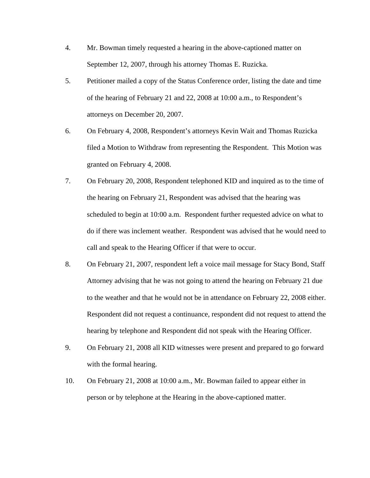- 4. Mr. Bowman timely requested a hearing in the above-captioned matter on September 12, 2007, through his attorney Thomas E. Ruzicka.
- 5. Petitioner mailed a copy of the Status Conference order, listing the date and time of the hearing of February 21 and 22, 2008 at 10:00 a.m., to Respondent's attorneys on December 20, 2007.
- 6. On February 4, 2008, Respondent's attorneys Kevin Wait and Thomas Ruzicka filed a Motion to Withdraw from representing the Respondent. This Motion was granted on February 4, 2008.
- 7. On February 20, 2008, Respondent telephoned KID and inquired as to the time of the hearing on February 21, Respondent was advised that the hearing was scheduled to begin at 10:00 a.m. Respondent further requested advice on what to do if there was inclement weather. Respondent was advised that he would need to call and speak to the Hearing Officer if that were to occur.
- 8. On February 21, 2007, respondent left a voice mail message for Stacy Bond, Staff Attorney advising that he was not going to attend the hearing on February 21 due to the weather and that he would not be in attendance on February 22, 2008 either. Respondent did not request a continuance, respondent did not request to attend the hearing by telephone and Respondent did not speak with the Hearing Officer.
- 9. On February 21, 2008 all KID witnesses were present and prepared to go forward with the formal hearing.
- 10. On February 21, 2008 at 10:00 a.m., Mr. Bowman failed to appear either in person or by telephone at the Hearing in the above-captioned matter.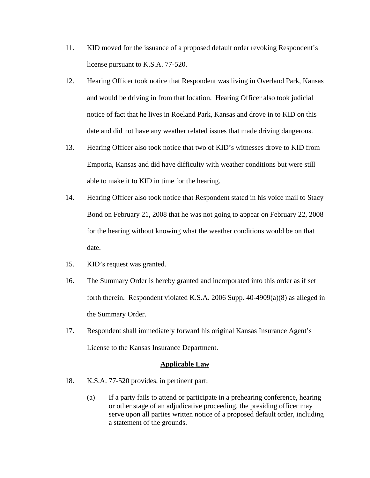- 11. KID moved for the issuance of a proposed default order revoking Respondent's license pursuant to K.S.A. 77-520.
- 12. Hearing Officer took notice that Respondent was living in Overland Park, Kansas and would be driving in from that location. Hearing Officer also took judicial notice of fact that he lives in Roeland Park, Kansas and drove in to KID on this date and did not have any weather related issues that made driving dangerous.
- 13. Hearing Officer also took notice that two of KID's witnesses drove to KID from Emporia, Kansas and did have difficulty with weather conditions but were still able to make it to KID in time for the hearing.
- 14. Hearing Officer also took notice that Respondent stated in his voice mail to Stacy Bond on February 21, 2008 that he was not going to appear on February 22, 2008 for the hearing without knowing what the weather conditions would be on that date.
- 15. KID's request was granted.
- 16. The Summary Order is hereby granted and incorporated into this order as if set forth therein. Respondent violated K.S.A. 2006 Supp. 40-4909(a)(8) as alleged in the Summary Order.
- 17. Respondent shall immediately forward his original Kansas Insurance Agent's License to the Kansas Insurance Department.

#### **Applicable Law**

- 18. K.S.A. 77-520 provides, in pertinent part:
	- (a) If a party fails to attend or participate in a prehearing conference, hearing or other stage of an adjudicative proceeding, the presiding officer may serve upon all parties written notice of a proposed default order, including a statement of the grounds.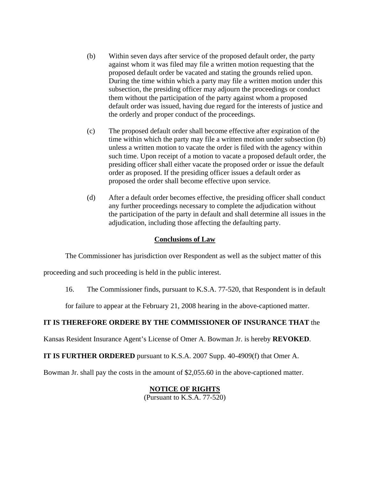- (b) Within seven days after service of the proposed default order, the party against whom it was filed may file a written motion requesting that the proposed default order be vacated and stating the grounds relied upon. During the time within which a party may file a written motion under this subsection, the presiding officer may adjourn the proceedings or conduct them without the participation of the party against whom a proposed default order was issued, having due regard for the interests of justice and the orderly and proper conduct of the proceedings.
- (c) The proposed default order shall become effective after expiration of the time within which the party may file a written motion under subsection (b) unless a written motion to vacate the order is filed with the agency within such time. Upon receipt of a motion to vacate a proposed default order, the presiding officer shall either vacate the proposed order or issue the default order as proposed. If the presiding officer issues a default order as proposed the order shall become effective upon service.
- (d) After a default order becomes effective, the presiding officer shall conduct any further proceedings necessary to complete the adjudication without the participation of the party in default and shall determine all issues in the adjudication, including those affecting the defaulting party.

## **Conclusions of Law**

The Commissioner has jurisdiction over Respondent as well as the subject matter of this

proceeding and such proceeding is held in the public interest.

16. The Commissioner finds, pursuant to K.S.A. 77-520, that Respondent is in default

for failure to appear at the February 21, 2008 hearing in the above-captioned matter.

## **IT IS THEREFORE ORDERE BY THE COMMISSIONER OF INSURANCE THAT** the

Kansas Resident Insurance Agent's License of Omer A. Bowman Jr. is hereby **REVOKED**.

**IT IS FURTHER ORDERED** pursuant to K.S.A. 2007 Supp. 40-4909(f) that Omer A.

Bowman Jr. shall pay the costs in the amount of \$2,055.60 in the above-captioned matter.

# **NOTICE OF RIGHTS**

(Pursuant to K.S.A. 77-520)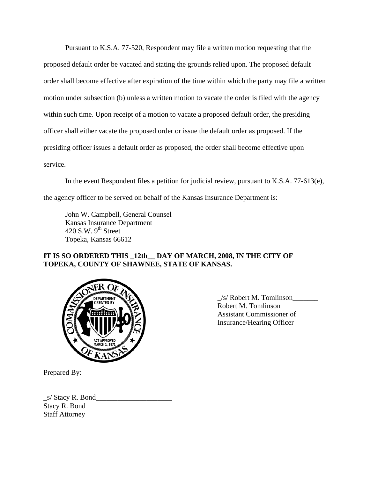Pursuant to K.S.A. 77-520, Respondent may file a written motion requesting that the proposed default order be vacated and stating the grounds relied upon. The proposed default order shall become effective after expiration of the time within which the party may file a written motion under subsection (b) unless a written motion to vacate the order is filed with the agency within such time. Upon receipt of a motion to vacate a proposed default order, the presiding officer shall either vacate the proposed order or issue the default order as proposed. If the presiding officer issues a default order as proposed, the order shall become effective upon service.

In the event Respondent files a petition for judicial review, pursuant to K.S.A. 77-613(e), the agency officer to be served on behalf of the Kansas Insurance Department is:

 John W. Campbell, General Counsel Kansas Insurance Department 420 S.W.  $9<sup>th</sup>$  Street Topeka, Kansas 66612

## **IT IS SO ORDERED THIS \_12th\_\_ DAY OF MARCH, 2008, IN THE CITY OF TOPEKA, COUNTY OF SHAWNEE, STATE OF KANSAS.**



 $\angle$ s/ Robert M. Tomlinson Robert M. Tomlinson Assistant Commissioner of Insurance/Hearing Officer

Prepared By:

 $\_s/$  Stacy R. Bond $\_$ Stacy R. Bond Staff Attorney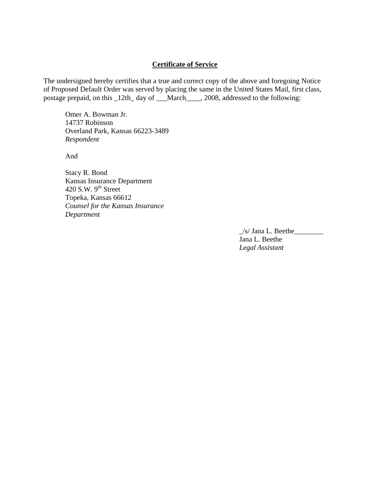## **Certificate of Service**

The undersigned hereby certifies that a true and correct copy of the above and foregoing Notice of Proposed Default Order was served by placing the same in the United States Mail, first class, postage prepaid, on this \_12th\_ day of \_\_\_March\_\_\_\_, 2008, addressed to the following:

 Omer A. Bowman Jr. 14737 Robinson Overland Park, Kansas 66223-3489 *Respondent* 

And

Stacy R. Bond Kansas Insurance Department 420 S.W.  $9<sup>th</sup>$  Street Topeka, Kansas 66612 *Counsel for the Kansas Insurance Department* 

> $\angle$ s/ Jana L. Beethe $\angle$  Jana L. Beethe *Legal Assistant*